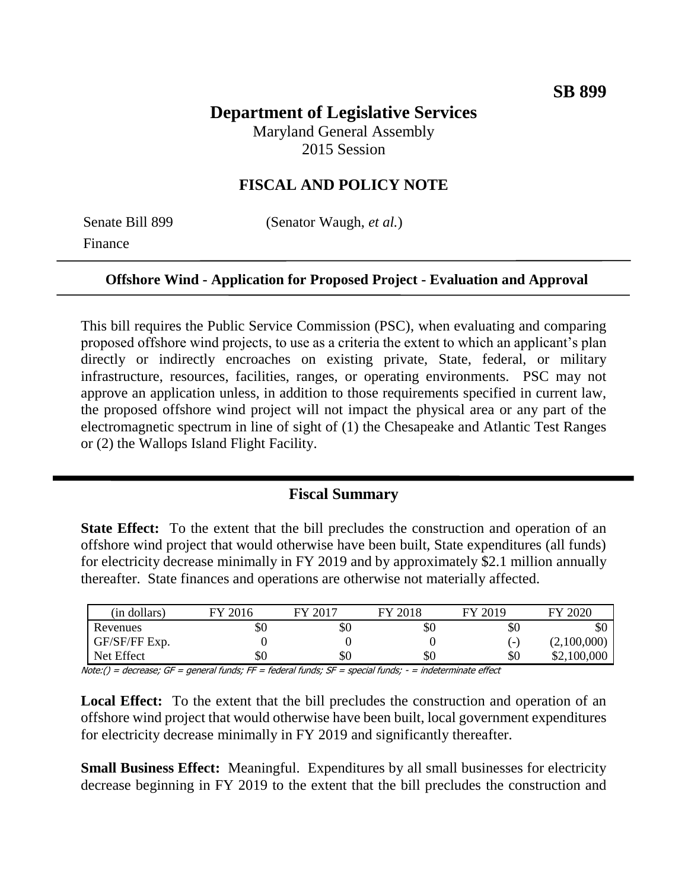# **Department of Legislative Services**

Maryland General Assembly 2015 Session

## **FISCAL AND POLICY NOTE**

Finance

Senate Bill 899 (Senator Waugh, *et al.*)

#### **Offshore Wind - Application for Proposed Project - Evaluation and Approval**

This bill requires the Public Service Commission (PSC), when evaluating and comparing proposed offshore wind projects, to use as a criteria the extent to which an applicant's plan directly or indirectly encroaches on existing private, State, federal, or military infrastructure, resources, facilities, ranges, or operating environments. PSC may not approve an application unless, in addition to those requirements specified in current law, the proposed offshore wind project will not impact the physical area or any part of the electromagnetic spectrum in line of sight of (1) the Chesapeake and Atlantic Test Ranges or (2) the Wallops Island Flight Facility.

## **Fiscal Summary**

**State Effect:** To the extent that the bill precludes the construction and operation of an offshore wind project that would otherwise have been built, State expenditures (all funds) for electricity decrease minimally in FY 2019 and by approximately \$2.1 million annually thereafter. State finances and operations are otherwise not materially affected.

| (in dollars)  | FY 2016 | FY 2017 | FY 2018 | FY 2019 | FY 2020     |
|---------------|---------|---------|---------|---------|-------------|
| Revenues      | эU      | \$0     | \$0     | \$0     | \$0         |
| GF/SF/FF Exp. |         |         |         | -       | (2,100,000) |
| Net Effect    | DЛ      | \$0     | \$0     | \$0     | \$2,100,000 |

Note:() = decrease; GF = general funds; FF = federal funds; SF = special funds; - = indeterminate effect

**Local Effect:** To the extent that the bill precludes the construction and operation of an offshore wind project that would otherwise have been built, local government expenditures for electricity decrease minimally in FY 2019 and significantly thereafter.

**Small Business Effect:** Meaningful. Expenditures by all small businesses for electricity decrease beginning in FY 2019 to the extent that the bill precludes the construction and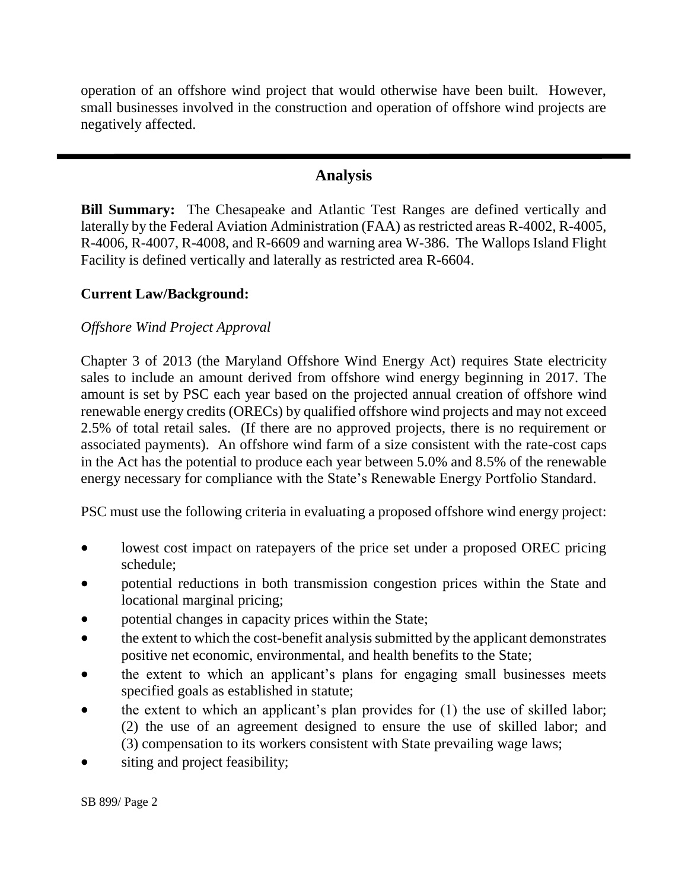operation of an offshore wind project that would otherwise have been built. However, small businesses involved in the construction and operation of offshore wind projects are negatively affected.

## **Analysis**

**Bill Summary:** The Chesapeake and Atlantic Test Ranges are defined vertically and laterally by the Federal Aviation Administration (FAA) as restricted areas R-4002, R-4005, R-4006, R-4007, R-4008, and R-6609 and warning area W-386. The Wallops Island Flight Facility is defined vertically and laterally as restricted area R-6604.

## **Current Law/Background:**

## *Offshore Wind Project Approval*

Chapter 3 of 2013 (the Maryland Offshore Wind Energy Act) requires State electricity sales to include an amount derived from offshore wind energy beginning in 2017. The amount is set by PSC each year based on the projected annual creation of offshore wind renewable energy credits (ORECs) by qualified offshore wind projects and may not exceed 2.5% of total retail sales. (If there are no approved projects, there is no requirement or associated payments). An offshore wind farm of a size consistent with the rate-cost caps in the Act has the potential to produce each year between 5.0% and 8.5% of the renewable energy necessary for compliance with the State's Renewable Energy Portfolio Standard.

PSC must use the following criteria in evaluating a proposed offshore wind energy project:

- lowest cost impact on ratepayers of the price set under a proposed OREC pricing schedule;
- potential reductions in both transmission congestion prices within the State and locational marginal pricing;
- potential changes in capacity prices within the State;
- the extent to which the cost-benefit analysis submitted by the applicant demonstrates positive net economic, environmental, and health benefits to the State;
- the extent to which an applicant's plans for engaging small businesses meets specified goals as established in statute;
- the extent to which an applicant's plan provides for (1) the use of skilled labor; (2) the use of an agreement designed to ensure the use of skilled labor; and (3) compensation to its workers consistent with State prevailing wage laws;
- siting and project feasibility;

SB 899/ Page 2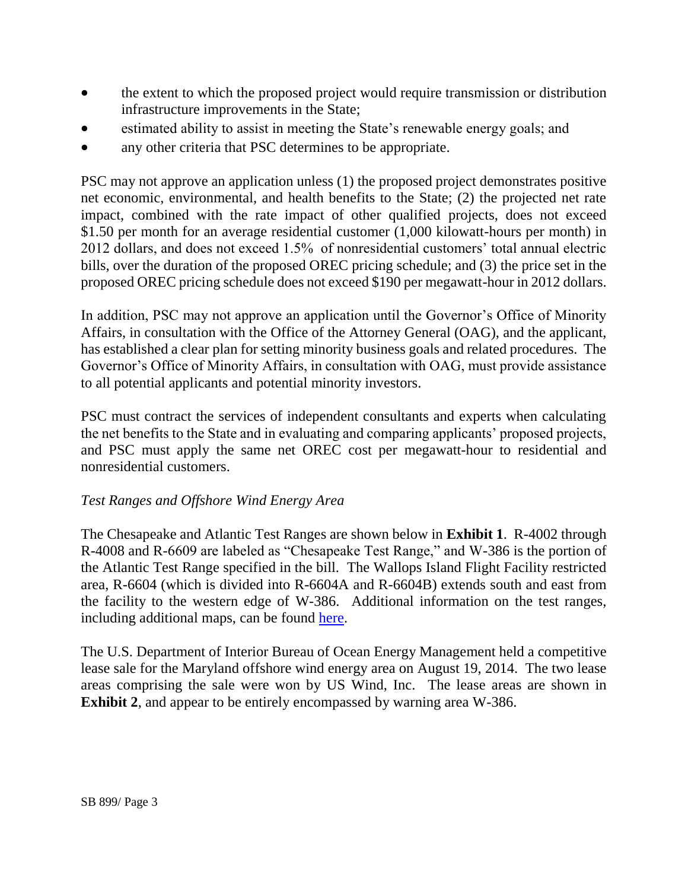- the extent to which the proposed project would require transmission or distribution infrastructure improvements in the State;
- estimated ability to assist in meeting the State's renewable energy goals; and
- any other criteria that PSC determines to be appropriate.

PSC may not approve an application unless (1) the proposed project demonstrates positive net economic, environmental, and health benefits to the State; (2) the projected net rate impact, combined with the rate impact of other qualified projects, does not exceed \$1.50 per month for an average residential customer (1,000 kilowatt-hours per month) in 2012 dollars, and does not exceed 1.5% of nonresidential customers' total annual electric bills, over the duration of the proposed OREC pricing schedule; and (3) the price set in the proposed OREC pricing schedule does not exceed \$190 per megawatt-hour in 2012 dollars.

In addition, PSC may not approve an application until the Governor's Office of Minority Affairs, in consultation with the Office of the Attorney General (OAG), and the applicant, has established a clear plan for setting minority business goals and related procedures. The Governor's Office of Minority Affairs, in consultation with OAG, must provide assistance to all potential applicants and potential minority investors.

PSC must contract the services of independent consultants and experts when calculating the net benefits to the State and in evaluating and comparing applicants' proposed projects, and PSC must apply the same net OREC cost per megawatt-hour to residential and nonresidential customers.

# *Test Ranges and Offshore Wind Energy Area*

The Chesapeake and Atlantic Test Ranges are shown below in **Exhibit 1**. R-4002 through R-4008 and R-6609 are labeled as "Chesapeake Test Range," and W-386 is the portion of the Atlantic Test Range specified in the bill. The Wallops Island Flight Facility restricted area, R-6604 (which is divided into R-6604A and R-6604B) extends south and east from the facility to the western edge of W-386. Additional information on the test ranges, including additional maps, can be found [here.](http://www.navair.navy.mil/ranges/atr/docs/ATR/FS_ATR.pdf)

The U.S. Department of Interior Bureau of Ocean Energy Management held a competitive lease sale for the Maryland offshore wind energy area on August 19, 2014. The two lease areas comprising the sale were won by US Wind, Inc. The lease areas are shown in **Exhibit 2**, and appear to be entirely encompassed by warning area W-386.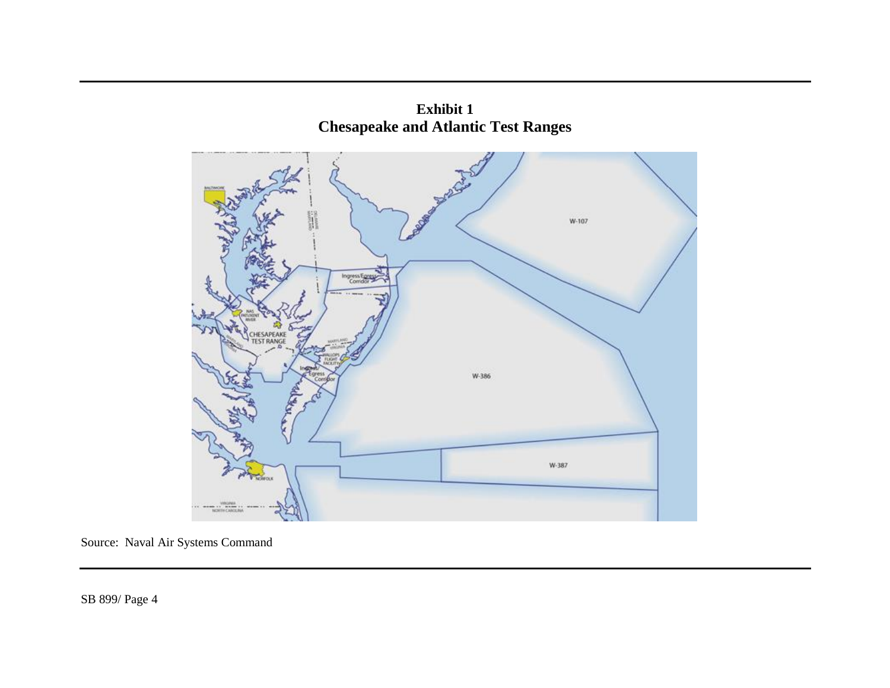

**Exhibit 1 Chesapeake and Atlantic Test Ranges**

Source: Naval Air Systems Command

SB 899/ Page 4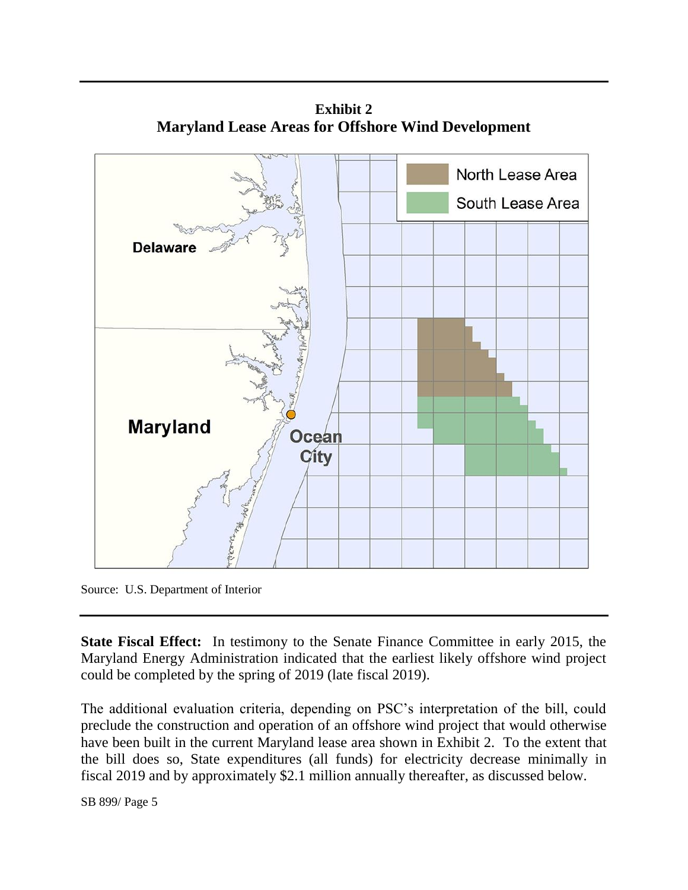

**Exhibit 2 Maryland Lease Areas for Offshore Wind Development**

Source: U.S. Department of Interior

**State Fiscal Effect:** In testimony to the Senate Finance Committee in early 2015, the Maryland Energy Administration indicated that the earliest likely offshore wind project could be completed by the spring of 2019 (late fiscal 2019).

The additional evaluation criteria, depending on PSC's interpretation of the bill, could preclude the construction and operation of an offshore wind project that would otherwise have been built in the current Maryland lease area shown in Exhibit 2. To the extent that the bill does so, State expenditures (all funds) for electricity decrease minimally in fiscal 2019 and by approximately \$2.1 million annually thereafter, as discussed below.

SB 899/ Page 5